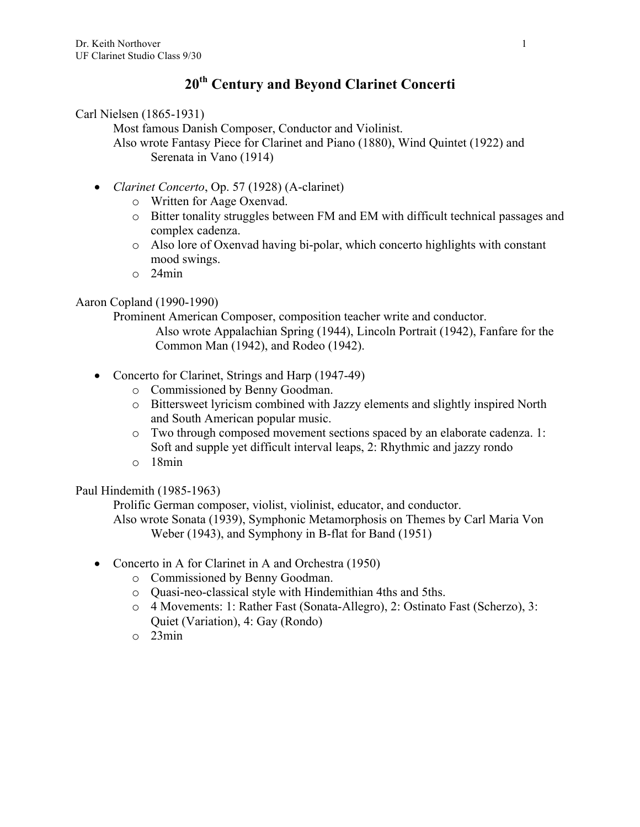# **20th Century and Beyond Clarinet Concerti**

Carl Nielsen (1865-1931)

Most famous Danish Composer, Conductor and Violinist. Also wrote Fantasy Piece for Clarinet and Piano (1880), Wind Quintet (1922) and Serenata in Vano (1914)

- *Clarinet Concerto*, Op. 57 (1928) (A-clarinet)
	- o Written for Aage Oxenvad.
	- o Bitter tonality struggles between FM and EM with difficult technical passages and complex cadenza.
	- o Also lore of Oxenvad having bi-polar, which concerto highlights with constant mood swings.
	- o 24min

## Aaron Copland (1990-1990)

Prominent American Composer, composition teacher write and conductor.

Also wrote Appalachian Spring (1944), Lincoln Portrait (1942), Fanfare for the Common Man (1942), and Rodeo (1942).

- Concerto for Clarinet, Strings and Harp (1947-49)
	- o Commissioned by Benny Goodman.
	- o Bittersweet lyricism combined with Jazzy elements and slightly inspired North and South American popular music.
	- o Two through composed movement sections spaced by an elaborate cadenza. 1: Soft and supple yet difficult interval leaps, 2: Rhythmic and jazzy rondo
	- o 18min

## Paul Hindemith (1985-1963)

Prolific German composer, violist, violinist, educator, and conductor.

Also wrote Sonata (1939), Symphonic Metamorphosis on Themes by Carl Maria Von Weber (1943), and Symphony in B-flat for Band (1951)

- Concerto in A for Clarinet in A and Orchestra (1950)
	- o Commissioned by Benny Goodman.
	- o Quasi-neo-classical style with Hindemithian 4ths and 5ths.
	- o 4 Movements: 1: Rather Fast (Sonata-Allegro), 2: Ostinato Fast (Scherzo), 3: Quiet (Variation), 4: Gay (Rondo)
	- o 23min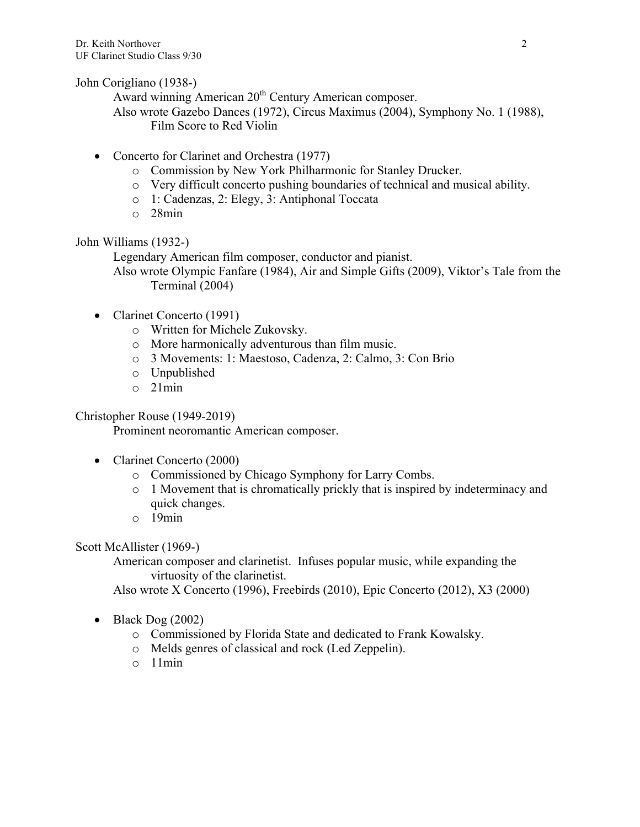John Corigliano (1938-)

Award winning American 20<sup>th</sup> Century American composer.

- Also wrote Gazebo Dances (1972), Circus Maximus (2004), Symphony No. 1 (1988), Film Score to Red Violin
- Concerto for Clarinet and Orchestra (1977)
	- o Commission by New York Philharmonic for Stanley Drucker.
	- o Very difficult concerto pushing boundaries of technical and musical ability.
	- o 1: Cadenzas, 2: Elegy, 3: Antiphonal Toccata
	- o 28min

John Williams (1932-)

Legendary American film composer, conductor and pianist. Also wrote Olympic Fanfare (1984), Air and Simple Gifts (2009), Viktor's Tale from the

Terminal (2004)

- Clarinet Concerto (1991)
	- o Written for Michele Zukovsky.
	- o More harmonically adventurous than film music.
	- o 3 Movements: 1: Maestoso, Cadenza, 2: Calmo, 3: Con Brio
	- o Unpublished
	- o 21min

Christopher Rouse (1949-2019)

Prominent neoromantic American composer.

- Clarinet Concerto (2000)
	- o Commissioned by Chicago Symphony for Larry Combs.
	- o 1 Movement that is chromatically prickly that is inspired by indeterminacy and quick changes.
	- o 19min

Scott McAllister (1969-)

American composer and clarinetist. Infuses popular music, while expanding the virtuosity of the clarinetist.

Also wrote X Concerto (1996), Freebirds (2010), Epic Concerto (2012), X3 (2000)

- Black Dog (2002)
	- o Commissioned by Florida State and dedicated to Frank Kowalsky.
	- o Melds genres of classical and rock (Led Zeppelin).
	- o 11min